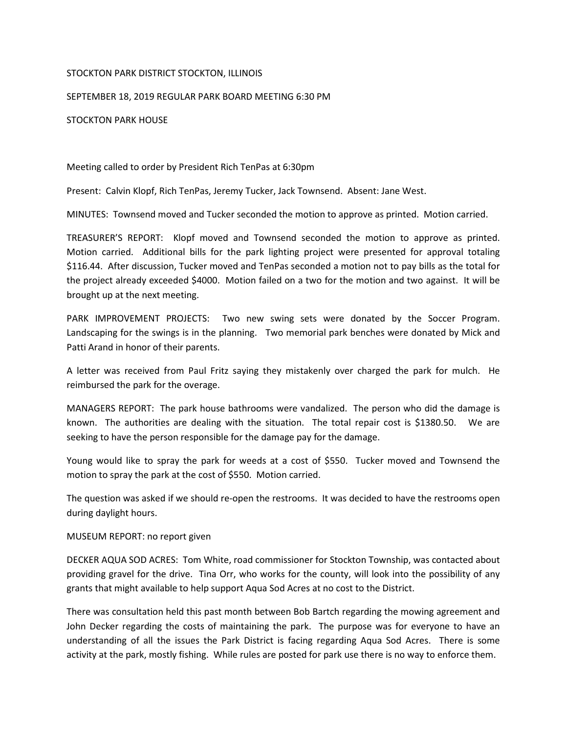## STOCKTON PARK DISTRICT STOCKTON, ILLINOIS

## SEPTEMBER 18, 2019 REGULAR PARK BOARD MEETING 6:30 PM

## STOCKTON PARK HOUSE

Meeting called to order by President Rich TenPas at 6:30pm

Present: Calvin Klopf, Rich TenPas, Jeremy Tucker, Jack Townsend. Absent: Jane West.

MINUTES: Townsend moved and Tucker seconded the motion to approve as printed. Motion carried.

TREASURER'S REPORT: Klopf moved and Townsend seconded the motion to approve as printed. Motion carried. Additional bills for the park lighting project were presented for approval totaling \$116.44. After discussion, Tucker moved and TenPas seconded a motion not to pay bills as the total for the project already exceeded \$4000. Motion failed on a two for the motion and two against. It will be brought up at the next meeting.

PARK IMPROVEMENT PROJECTS: Two new swing sets were donated by the Soccer Program. Landscaping for the swings is in the planning. Two memorial park benches were donated by Mick and Patti Arand in honor of their parents.

A letter was received from Paul Fritz saying they mistakenly over charged the park for mulch. He reimbursed the park for the overage.

MANAGERS REPORT: The park house bathrooms were vandalized. The person who did the damage is known. The authorities are dealing with the situation. The total repair cost is \$1380.50. We are seeking to have the person responsible for the damage pay for the damage.

Young would like to spray the park for weeds at a cost of \$550. Tucker moved and Townsend the motion to spray the park at the cost of \$550. Motion carried.

The question was asked if we should re-open the restrooms. It was decided to have the restrooms open during daylight hours.

MUSEUM REPORT: no report given

DECKER AQUA SOD ACRES: Tom White, road commissioner for Stockton Township, was contacted about providing gravel for the drive. Tina Orr, who works for the county, will look into the possibility of any grants that might available to help support Aqua Sod Acres at no cost to the District.

There was consultation held this past month between Bob Bartch regarding the mowing agreement and John Decker regarding the costs of maintaining the park. The purpose was for everyone to have an understanding of all the issues the Park District is facing regarding Aqua Sod Acres. There is some activity at the park, mostly fishing. While rules are posted for park use there is no way to enforce them.